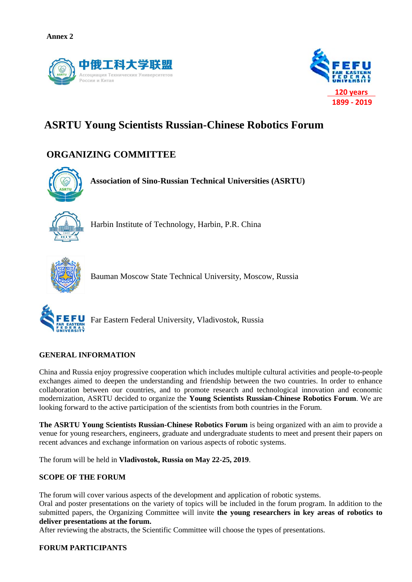



# **ASRTU Young Scientists Russian-Chinese Robotics Forum**

## **ORGANIZING COMMITTEE**



**Association of Sino-Russian Technical Universities (ASRTU)**



Harbin Institute of Technology, Harbin, P.R. China



Bauman Moscow State Technical University, Moscow, Russia



Far Eastern Federal University, Vladivostok, Russia

#### **GENERAL INFORMATION**

China and Russia enjoy progressive cooperation which includes multiple cultural activities and people-to-people exchanges aimed to deepen the understanding and friendship between the two countries. In order to enhance collaboration between our countries, and to promote research and technological innovation and economic modernization, ASRTU decided to organize the **Young Scientists Russian-Chinese Robotics Forum**. We are looking forward to the active participation of the scientists from both countries in the Forum.

**The ASRTU Young Scientists Russian-Chinese Robotics Forum** is being organized with an aim to provide a venue for young researchers, engineers, graduate and undergraduate students to meet and present their papers on recent advances and exchange information on various aspects of robotic systems.

The forum will be held in **Vladivostok, Russia on May 22-25, 2019**.

#### **SCOPE OF THE FORUM**

The forum will cover various aspects of the development and application of robotic systems.

Oral and poster presentations on the variety of topics will be included in the forum program. In addition to the submitted papers, the Organizing Committee will invite **the young researchers in key areas of robotics to deliver presentations at the forum.**

After reviewing the abstracts, the Scientific Committee will choose the types of presentations.

#### **FORUM PARTICIPANTS**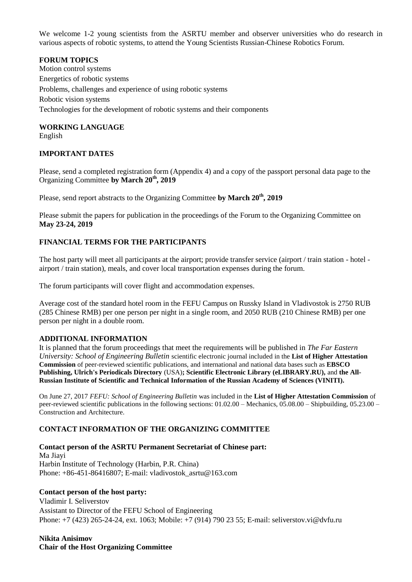We welcome 1-2 young scientists from the ASRTU member and observer universities who do research in various aspects of robotic systems, to attend the Young Scientists Russian-Chinese Robotics Forum.

#### **FORUM TOPICS**

Motion control systems Energetics of robotic systems Problems, challenges and experience of using robotic systems Robotic vision systems Technologies for the development of robotic systems and their components

#### **WORKING LANGUAGE**

English

#### **IMPORTANT DATES**

Please, send a completed registration form (Appendix 4) and a copy of the passport personal data page to the Organizing Committee **by March 20th, 2019** 

Please, send report abstracts to the Organizing Committee **by March 20th, 2019**

Please submit the papers for publication in the proceedings of the Forum to the Organizing Committee on **May 23-24, 2019**

### **FINANCIAL TERMS FOR THE PARTICIPANTS**

The host party will meet all participants at the airport; provide transfer service (airport / train station - hotel airport / train station), meals, and cover local transportation expenses during the forum.

The forum participants will cover flight and accommodation expenses.

Average cost of the standard hotel room in the FEFU Campus on Russky Island in Vladivostok is 2750 RUB (285 Chinese RMB) per one person per night in a single room, and 2050 RUB (210 Chinese RMB) per one person per night in a double room.

#### **ADDITIONAL INFORMATION**

It is planned that the forum proceedings that meet the requirements will be published in *The Far Eastern University: School of Engineering Bulletin* scientific electronic journal included in the **List of Higher Attestation Commission** of peer-reviewed scientific publications, and international and national data bases such as **EBSCO Publishing, Ulrich's Periodicals Directory** (USA)**; Scientific Electronic Library (eLIBRARY.RU),** and **the All-Russian Institute of Scientific and Technical Information of the Russian Academy of Sciences (VINITI).**

On June 27, 2017 *FEFU: School of Engineering Bulletin* was included in the **List of Higher Attestation Commission** of peer-reviewed scientific publications in the following sections: 01.02.00 – Mechanics, 05.08.00 – Shipbuilding, 05.23.00 – Construction and Architecture.

#### **CONTACT INFORMATION OF THE ORGANIZING COMMITTEE**

**Contact person of the ASRTU Permanent Secretariat of Chinese part:** Ma Jiayi Harbin Institute of Technology (Harbin, P.R. China) Phone: +86-451-86416807; E-mail: vladivostok\_asrtu@163.com

#### **Contact person of the host party:**

Vladimir I. Seliverstov Assistant to Director of the FEFU School of Engineering Phone: +7 (423) 265-24-24, ext. 1063; Mobile: +7 (914) 790 23 55; E-mail: seliverstov.vi@dvfu.ru

**Nikita Anisimov Chair of the Host Organizing Committee**